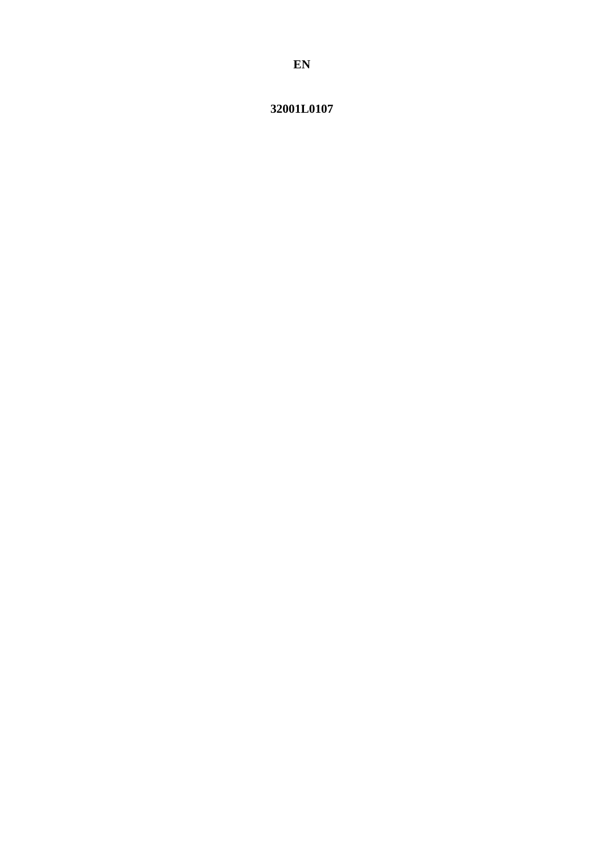<span id="page-0-0"></span>32001L0107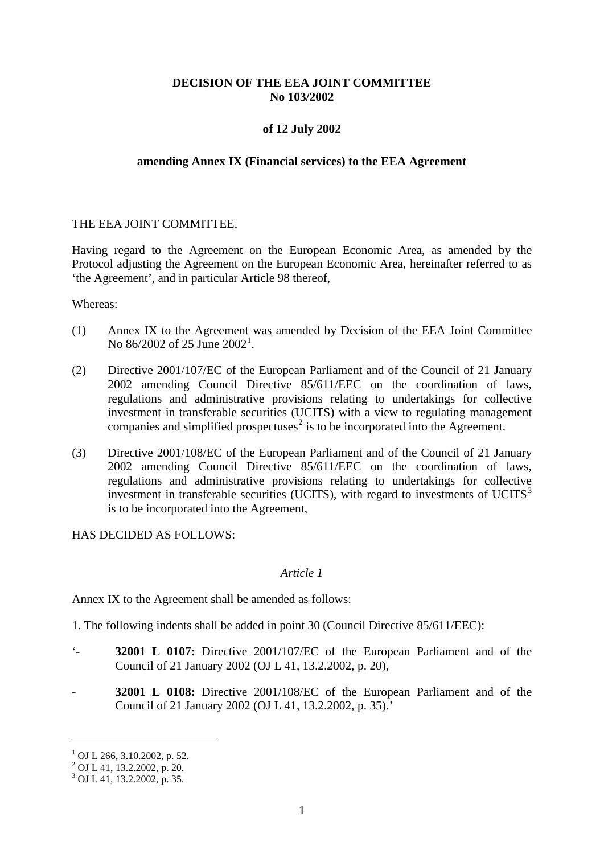# **DECISION OF THE EEA JOINT COMMITTEE No 103/2002**

# **of 12 July 2002**

#### **amending Annex IX (Financial services) to the EEA Agreement**

#### THE EEA JOINT COMMITTEE,

Having regard to the Agreement on the European Economic Area, as amended by the Protocol adjusting the Agreement on the European Economic Area, hereinafter referred to as 'the Agreement', and in particular Article 98 thereof,

Whereas:

- (1) Annex IX to the Agreement was amended by Decision of the EEA Joint Committee No 86/2002 of 25 June 2002<sup>[1](#page-0-0)</sup>.
- (2) Directive 2001/107/EC of the European Parliament and of the Council of 21 January 2002 amending Council Directive 85/611/EEC on the coordination of laws, regulations and administrative provisions relating to undertakings for collective investment in transferable securities (UCITS) with a view to regulating management companies and simplified prospectuses<sup>[2](#page-1-0)</sup> is to be incorporated into the Agreement.
- (3) Directive 2001/108/EC of the European Parliament and of the Council of 21 January 2002 amending Council Directive 85/611/EEC on the coordination of laws, regulations and administrative provisions relating to undertakings for collective investment in transferable securities (UCITS), with regard to investments of UCITS $3$ is to be incorporated into the Agreement,

HAS DECIDED AS FOLLOWS:

### *Article 1*

Annex IX to the Agreement shall be amended as follows:

1. The following indents shall be added in point 30 (Council Directive 85/611/EEC):

- '- **32001 L 0107:** Directive 2001/107/EC of the European Parliament and of the Council of 21 January 2002 (OJ L 41, 13.2.2002, p. 20),
- **32001 L 0108:** Directive 2001/108/EC of the European Parliament and of the Council of 21 January 2002 (OJ L 41, 13.2.2002, p. 35).'

-

 $1$  OJ L 266, 3.10.2002, p. 52.

<span id="page-1-0"></span><sup>2</sup> OJ L 41, 13.2.2002, p. 20.

<span id="page-1-1"></span> $3$  OJ L 41, 13.2.2002, p. 35.